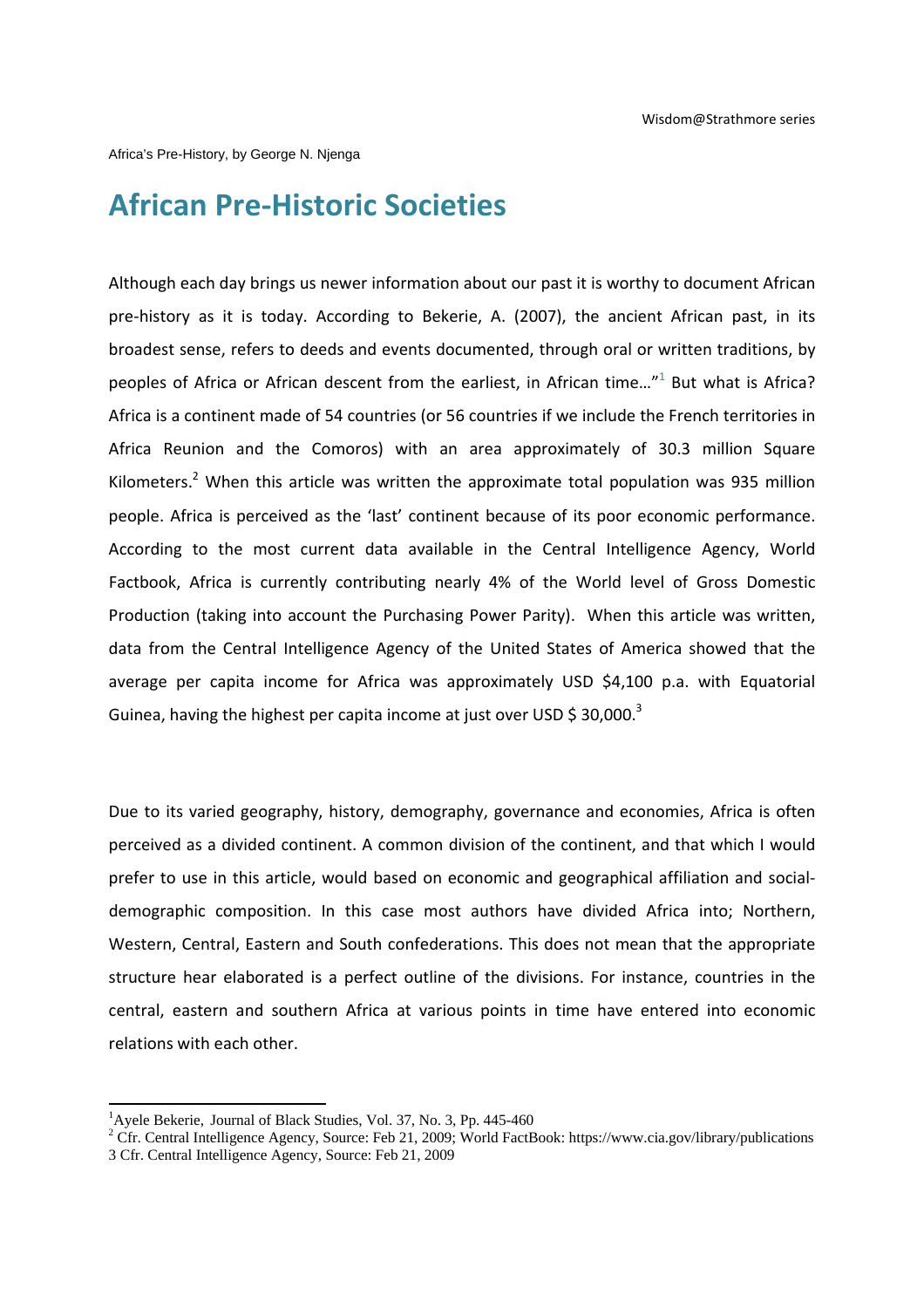Africa's Pre-History, by George N. Njenga

## **African Pre‐Historic Societies**

Although each day brings us newer information about our past it is worthy to document African pre‐history as it is today. According to Bekerie, A. (2007), the ancient African past, in its broadest sense, refers to deeds and events documented, through oral or written traditions, by peoples of Africa or African descent from the earliest, in African time..."<sup>1</sup> But what is Africa? Africa is a continent made of 54 countries (or 56 countries if we include the French territories in Africa Reunion and the Comoros) with an area approximately of 30.3 million Square Kilometers.<sup>2</sup> When this article was written the approximate total population was 935 million people. Africa is perceived as the 'last' continent because of its poor economic performance. According to the most current data available in the Central Intelligence Agency, World Factbook, Africa is currently contributing nearly 4% of the World level of Gross Domestic Production (taking into account the Purchasing Power Parity). When this article was written, data from the Central Intelligence Agency of the United States of America showed that the average per capita income for Africa was approximately USD \$4,100 p.a. with Equatorial Guinea, having the highest per capita income at just over USD \$ 30,000.<sup>3</sup>

Due to its varied geography, history, demography, governance and economies, Africa is often perceived as a divided continent. A common division of the continent, and that which I would prefer to use in this article, would based on economic and geographical affiliation and socialdemographic composition. In this case most authors have divided Africa into; Northern, Western, Central, Eastern and South confederations. This does not mean that the appropriate structure hear elaborated is a perfect outline of the divisions. For instance, countries in the central, eastern and southern Africa at various points in time have entered into economic relations with each other.

<sup>&</sup>lt;sup>1</sup>Ayele Bekerie, Journal of Black Studies, Vol. 37, No. 3, Pp. 445-460<br><sup>2</sup> Cfr. Central Intelligence Agency, Source: Feb. 21, 2000; World FeetB

<sup>&</sup>lt;sup>2</sup> Cfr. Central Intelligence Agency, Source: Feb 21, 2009; World FactBook: https://www.cia.gov/library/publications 3 Cfr. Central Intelligence Agency, Source: Feb 21, 2009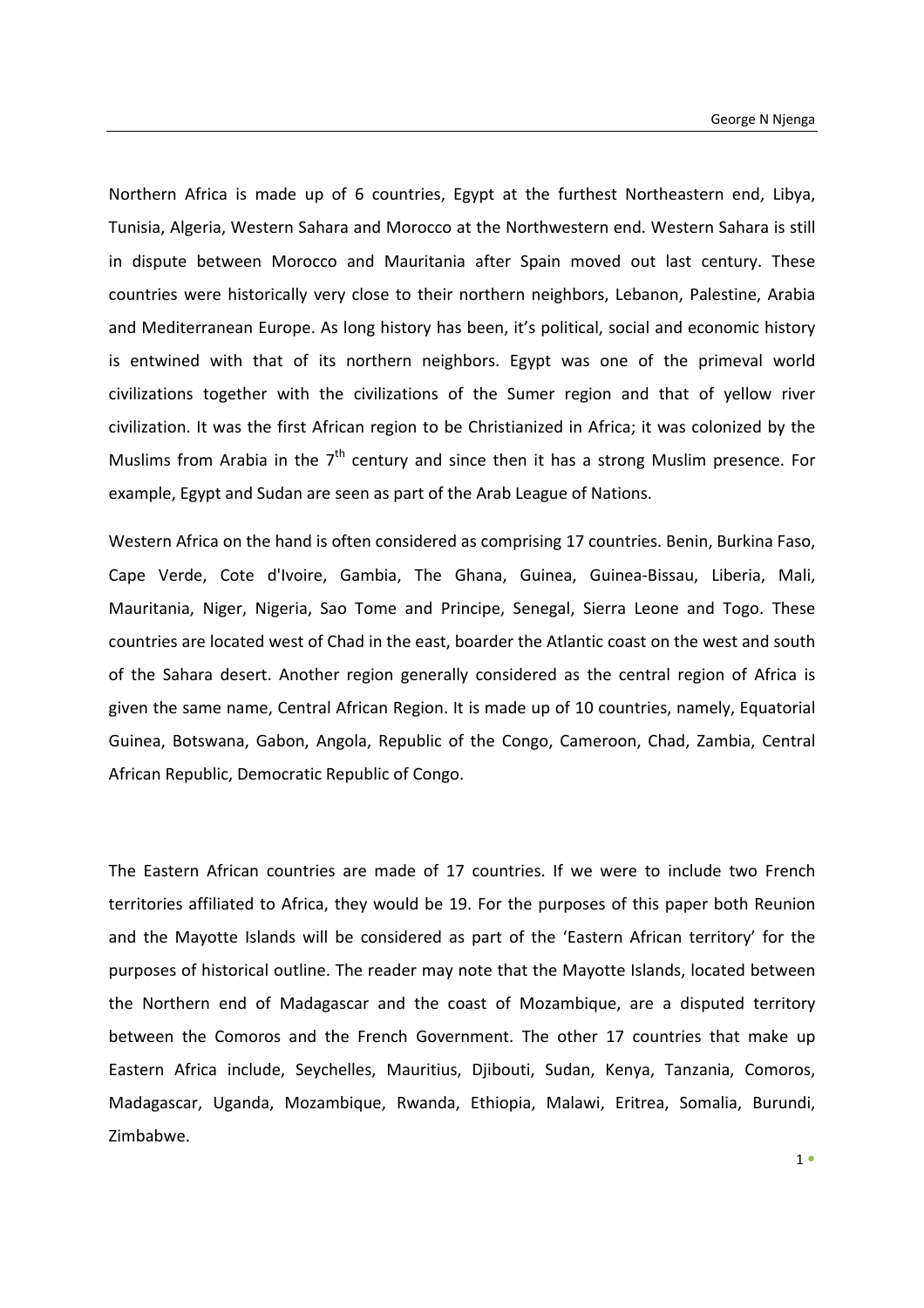Northern Africa is made up of 6 countries, Egypt at the furthest Northeastern end, Libya, Tunisia, Algeria, Western Sahara and Morocco at the Northwestern end. Western Sahara is still in dispute between Morocco and Mauritania after Spain moved out last century. These countries were historically very close to their northern neighbors, Lebanon, Palestine, Arabia and Mediterranean Europe. As long history has been, it's political, social and economic history is entwined with that of its northern neighbors. Egypt was one of the primeval world civilizations together with the civilizations of the Sumer region and that of yellow river civilization. It was the first African region to be Christianized in Africa; it was colonized by the Muslims from Arabia in the  $7<sup>th</sup>$  century and since then it has a strong Muslim presence. For example, Egypt and Sudan are seen as part of the Arab League of Nations.

Western Africa on the hand is often considered as comprising 17 countries. Benin, Burkina Faso, Cape Verde, Cote d'Ivoire, Gambia, The Ghana, Guinea, Guinea‐Bissau, Liberia, Mali, Mauritania, Niger, Nigeria, Sao Tome and Principe, Senegal, Sierra Leone and Togo. These countries are located west of Chad in the east, boarder the Atlantic coast on the west and south of the Sahara desert. Another region generally considered as the central region of Africa is given the same name, Central African Region. It is made up of 10 countries, namely, Equatorial Guinea, Botswana, Gabon, Angola, Republic of the Congo, Cameroon, Chad, Zambia, Central African Republic, Democratic Republic of Congo.

The Eastern African countries are made of 17 countries. If we were to include two French territories affiliated to Africa, they would be 19. For the purposes of this paper both Reunion and the Mayotte Islands will be considered as part of the 'Eastern African territory' for the purposes of historical outline. The reader may note that the Mayotte Islands, located between the Northern end of Madagascar and the coast of Mozambique, are a disputed territory between the Comoros and the French Government. The other 17 countries that make up Eastern Africa include, Seychelles, Mauritius, Djibouti, Sudan, Kenya, Tanzania, Comoros, Madagascar, Uganda, Mozambique, Rwanda, Ethiopia, Malawi, Eritrea, Somalia, Burundi, Zimbabwe.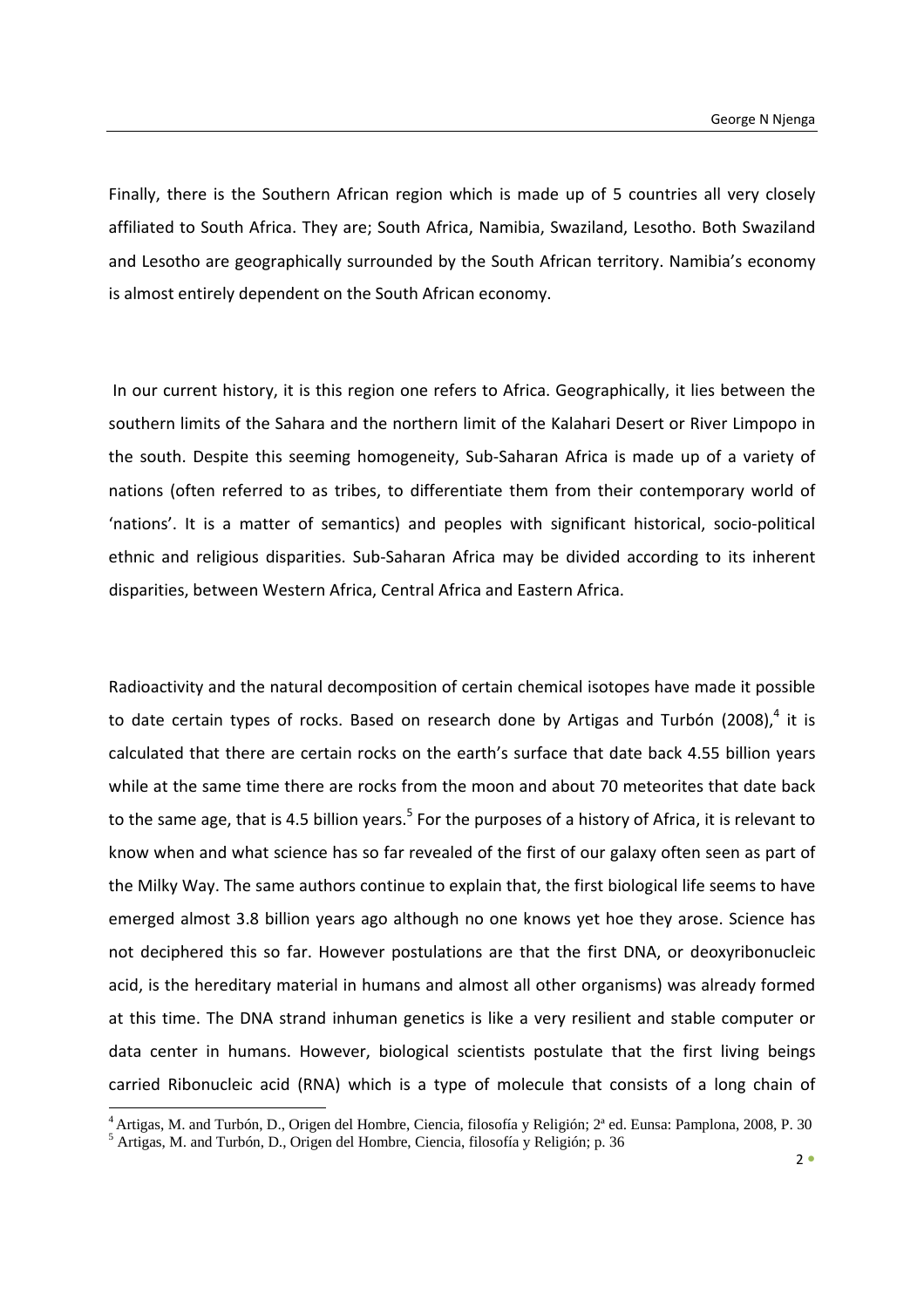Finally, there is the Southern African region which is made up of 5 countries all very closely affiliated to South Africa. They are; South Africa, Namibia, Swaziland, Lesotho. Both Swaziland and Lesotho are geographically surrounded by the South African territory. Namibia's economy is almost entirely dependent on the South African economy.

In our current history, it is this region one refers to Africa. Geographically, it lies between the southern limits of the Sahara and the northern limit of the Kalahari Desert or River Limpopo in the south. Despite this seeming homogeneity, Sub‐Saharan Africa is made up of a variety of nations (often referred to as tribes, to differentiate them from their contemporary world of 'nations'. It is a matter of semantics) and peoples with significant historical, socio‐political ethnic and religious disparities. Sub‐Saharan Africa may be divided according to its inherent disparities, between Western Africa, Central Africa and Eastern Africa.

Radioactivity and the natural decomposition of certain chemical isotopes have made it possible to date certain types of rocks. Based on research done by Artigas and Turbón (2008).<sup>4</sup> it is calculated that there are certain rocks on the earth's surface that date back 4.55 billion years while at the same time there are rocks from the moon and about 70 meteorites that date back to the same age, that is 4.5 billion years.<sup>5</sup> For the purposes of a history of Africa, it is relevant to know when and what science has so far revealed of the first of our galaxy often seen as part of the Milky Way. The same authors continue to explain that, the first biological life seems to have emerged almost 3.8 billion years ago although no one knows yet hoe they arose. Science has not deciphered this so far. However postulations are that the first DNA, or deoxyribonucleic acid, is the hereditary material in humans and almost all other organisms) was already formed at this time. The DNA strand inhuman genetics is like a very resilient and stable computer or data center in humans. However, biological scientists postulate that the first living beings carried Ribonucleic acid (RNA) which is a type of molecule that consists of a long chain of

<sup>&</sup>lt;sup>4</sup> Artigas, M. and Turbón, D., Origen del Hombre, Ciencia, filosofía y Religión; 2ª ed. Eunsa: Pamplona, 2008, P. 30 5 Artigas, M. and Turbón, D., Origen del Hombre, Ciencia, filosofía y Religión; p. 36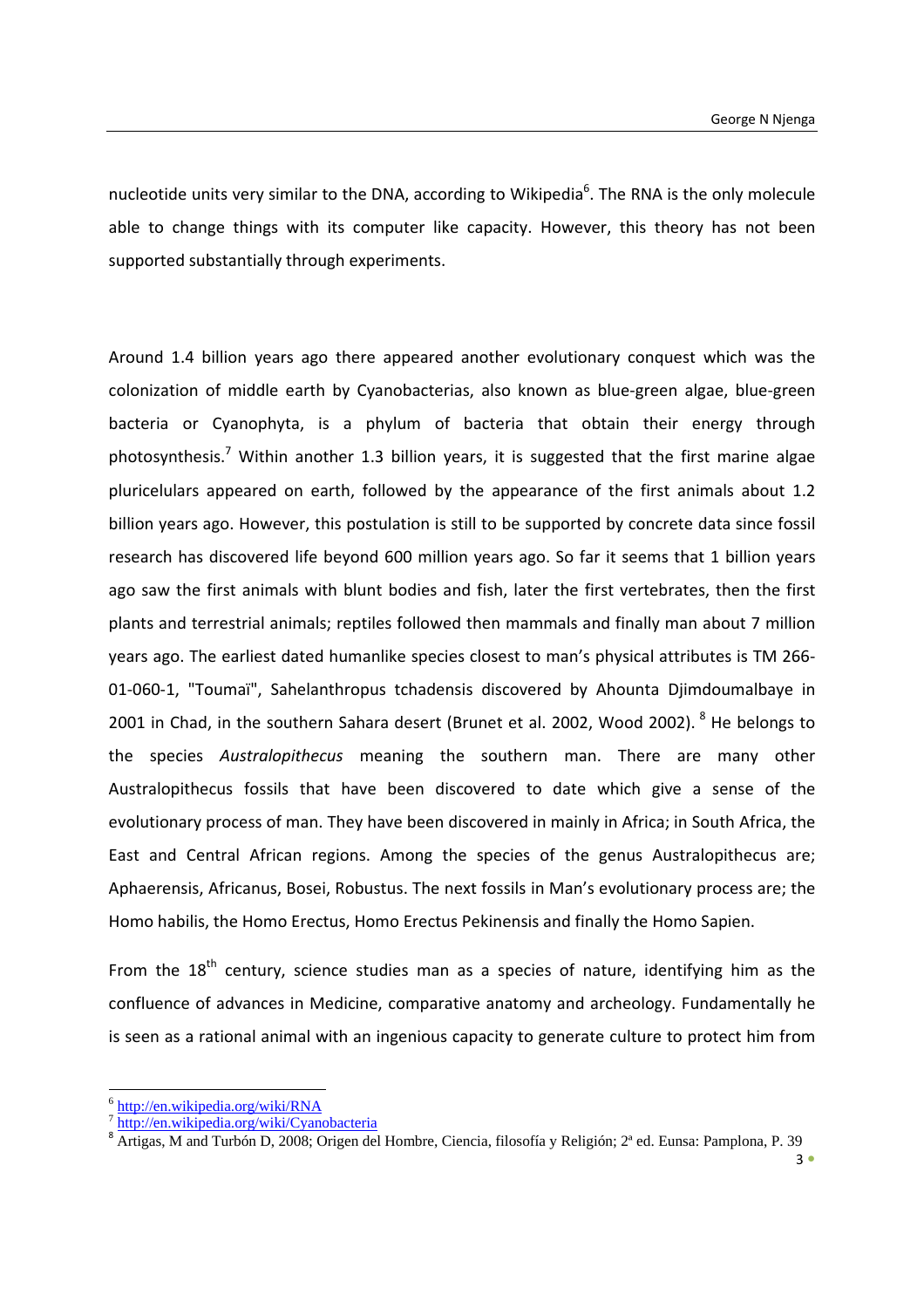nucleotide units very similar to the DNA, according to Wikipedia<sup>6</sup>. The RNA is the only molecule able to change things with its computer like capacity. However, this theory has not been supported substantially through experiments.

Around 1.4 billion years ago there appeared another evolutionary conquest which was the colonization of middle earth by Cyanobacterias, also known as blue‐green algae, blue‐green bacteria or Cyanophyta, is a phylum of bacteria that obtain their energy through photosynthesis.<sup>7</sup> Within another 1.3 billion years, it is suggested that the first marine algae pluricelulars appeared on earth, followed by the appearance of the first animals about 1.2 billion years ago. However, this postulation is still to be supported by concrete data since fossil research has discovered life beyond 600 million years ago. So far it seems that 1 billion years ago saw the first animals with blunt bodies and fish, later the first vertebrates, then the first plants and terrestrial animals; reptiles followed then mammals and finally man about 7 million years ago. The earliest dated humanlike species closest to man's physical attributes is TM 266‐ 01‐060‐1, "Toumaï", Sahelanthropus tchadensis discovered by Ahounta Djimdoumalbaye in 2001 in Chad, in the southern Sahara desert (Brunet et al. 2002, Wood 2002). <sup>8</sup> He belongs to the species *Australopithecus* meaning the southern man. There are many other Australopithecus fossils that have been discovered to date which give a sense of the evolutionary process of man. They have been discovered in mainly in Africa; in South Africa, the East and Central African regions. Among the species of the genus Australopithecus are; Aphaerensis, Africanus, Bosei, Robustus. The next fossils in Man's evolutionary process are; the Homo habilis, the Homo Erectus, Homo Erectus Pekinensis and finally the Homo Sapien.

From the  $18<sup>th</sup>$  century, science studies man as a species of nature, identifying him as the confluence of advances in Medicine, comparative anatomy and archeology. Fundamentally he is seen as a rational animal with an ingenious capacity to generate culture to protect him from

 $6$  http://en.wikipedia.org/wiki/RNA

<sup>&</sup>lt;sup>7</sup> http://en.wikipedia.org/wiki/Cyanobacteria<br><sup>8</sup> Artigas, M and Turbón D, 2008; Origen del Hombre, Ciencia, filosofía y Religión; 2<sup>ª</sup> ed. Eunsa: Pamplona, P. 39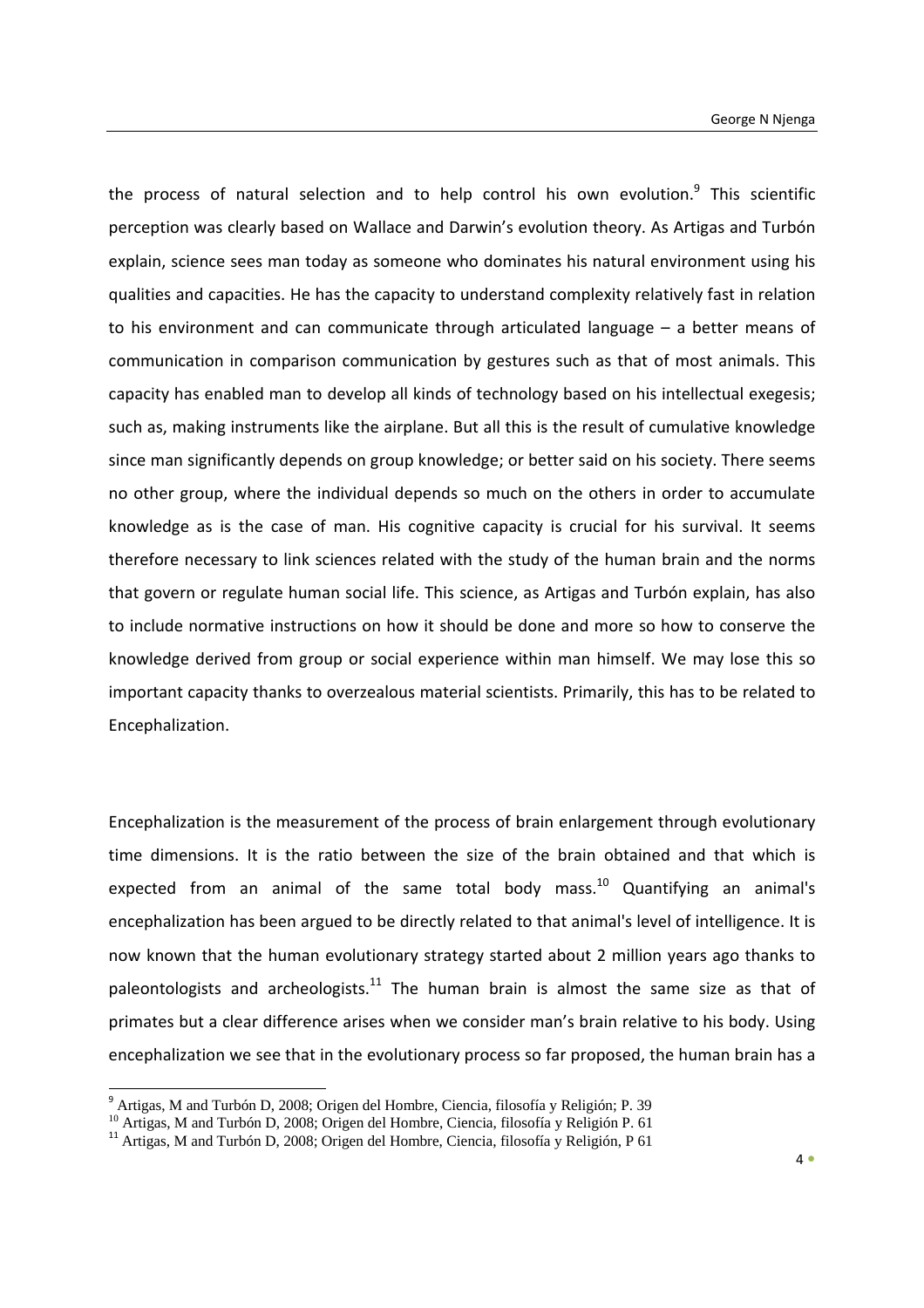the process of natural selection and to help control his own evolution. $9$  This scientific perception was clearly based on Wallace and Darwin's evolution theory. As Artigas and Turbón explain, science sees man today as someone who dominates his natural environment using his qualities and capacities. He has the capacity to understand complexity relatively fast in relation to his environment and can communicate through articulated language – a better means of communication in comparison communication by gestures such as that of most animals. This capacity has enabled man to develop all kinds of technology based on his intellectual exegesis; such as, making instruments like the airplane. But all this is the result of cumulative knowledge since man significantly depends on group knowledge; or better said on his society. There seems no other group, where the individual depends so much on the others in order to accumulate knowledge as is the case of man. His cognitive capacity is crucial for his survival. It seems therefore necessary to link sciences related with the study of the human brain and the norms that govern or regulate human social life. This science, as Artigas and Turbón explain, has also to include normative instructions on how it should be done and more so how to conserve the knowledge derived from group or social experience within man himself. We may lose this so important capacity thanks to overzealous material scientists. Primarily, this has to be related to Encephalization.

Encephalization is the measurement of the process of brain enlargement through evolutionary time dimensions. It is the ratio between the size of the brain obtained and that which is expected from an animal of the same total body mass.<sup>10</sup> Quantifying an animal's encephalization has been argued to be directly related to that animal's level of intelligence. It is now known that the human evolutionary strategy started about 2 million years ago thanks to paleontologists and archeologists.<sup>11</sup> The human brain is almost the same size as that of primates but a clear difference arises when we consider man's brain relative to his body. Using encephalization we see that in the evolutionary process so far proposed, the human brain has a

<u> Andrew Maria (1989)</u>

<sup>9</sup> Artigas, M and Turbón D, 2008; Origen del Hombre, Ciencia, filosofía y Religión; P. 39

 $10$  Artigas, M and Turbón D, 2008; Origen del Hombre, Ciencia, filosofía y Religión P. 61

<sup>&</sup>lt;sup>11</sup> Artigas, M and Turbón D, 2008; Origen del Hombre, Ciencia, filosofía y Religión, P 61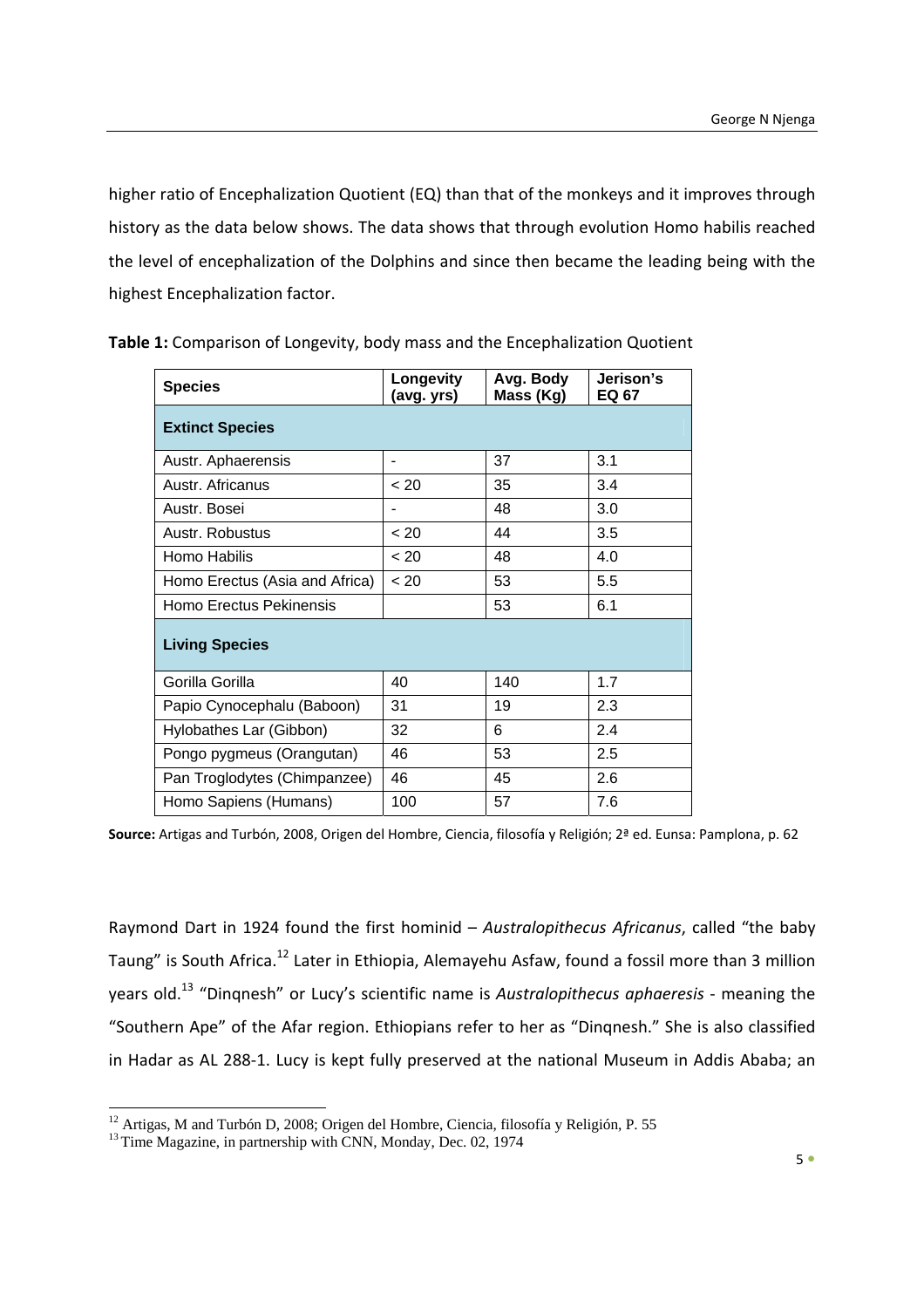higher ratio of Encephalization Quotient (EQ) than that of the monkeys and it improves through history as the data below shows. The data shows that through evolution Homo habilis reached the level of encephalization of the Dolphins and since then became the leading being with the highest Encephalization factor.

| <b>Species</b>                 | Longevity<br>(avg. yrs) | Avg. Body<br>Mass (Kg) | Jerison's<br>EQ 67 |  |  |  |  |
|--------------------------------|-------------------------|------------------------|--------------------|--|--|--|--|
| <b>Extinct Species</b>         |                         |                        |                    |  |  |  |  |
| Austr. Aphaerensis             |                         | 37                     | 3.1                |  |  |  |  |
| Austr. Africanus               | < 20                    | 35                     | 3.4                |  |  |  |  |
| Austr. Bosei                   |                         | 48                     | 3.0                |  |  |  |  |
| Austr. Robustus                | < 20                    | 44                     | 3.5                |  |  |  |  |
| Homo Habilis                   | < 20                    | 48                     | 4.0                |  |  |  |  |
| Homo Erectus (Asia and Africa) | < 20                    | 53                     | 5.5                |  |  |  |  |
| Homo Erectus Pekinensis        |                         | 53                     | 6.1                |  |  |  |  |
| <b>Living Species</b>          |                         |                        |                    |  |  |  |  |
| Gorilla Gorilla                | 40                      | 140                    | 1.7                |  |  |  |  |
| Papio Cynocephalu (Baboon)     | 31                      | 19                     | 2.3                |  |  |  |  |
| Hylobathes Lar (Gibbon)        | 32                      | 6                      | 2.4                |  |  |  |  |
| Pongo pygmeus (Orangutan)      | 46                      | 53                     | 2.5                |  |  |  |  |
| Pan Troglodytes (Chimpanzee)   | 46                      | 45                     | 2.6                |  |  |  |  |
| Homo Sapiens (Humans)          | 100                     | 57                     | 7.6                |  |  |  |  |

**Table 1:** Comparison of Longevity, body mass and the Encephalization Quotient

**Source:** Artigas and Turbón, 2008, Origen del Hombre, Ciencia, filosofía y Religión; 2ª ed. Eunsa: Pamplona, p. 62

Raymond Dart in 1924 found the first hominid – *Australopithecus Africanus*, called "the baby Taung" is South Africa.<sup>12</sup> Later in Ethiopia, Alemayehu Asfaw, found a fossil more than 3 million years old.<sup>13</sup> "Dinqnesh" or Lucy's scientific name is *Australopithecus aphaeresis* ‐ meaning the "Southern Ape" of the Afar region. Ethiopians refer to her as "Dinqnesh." She is also classified in Hadar as AL 288‐1. Lucy is kept fully preserved at the national Museum in Addis Ababa; an

 <sup>12</sup> Artigas, M and Turbón D, 2008; Origen del Hombre, Ciencia, filosofía y Religión, P. 55

<sup>&</sup>lt;sup>13</sup> Time Magazine, in partnership with CNN, Monday, Dec. 02, 1974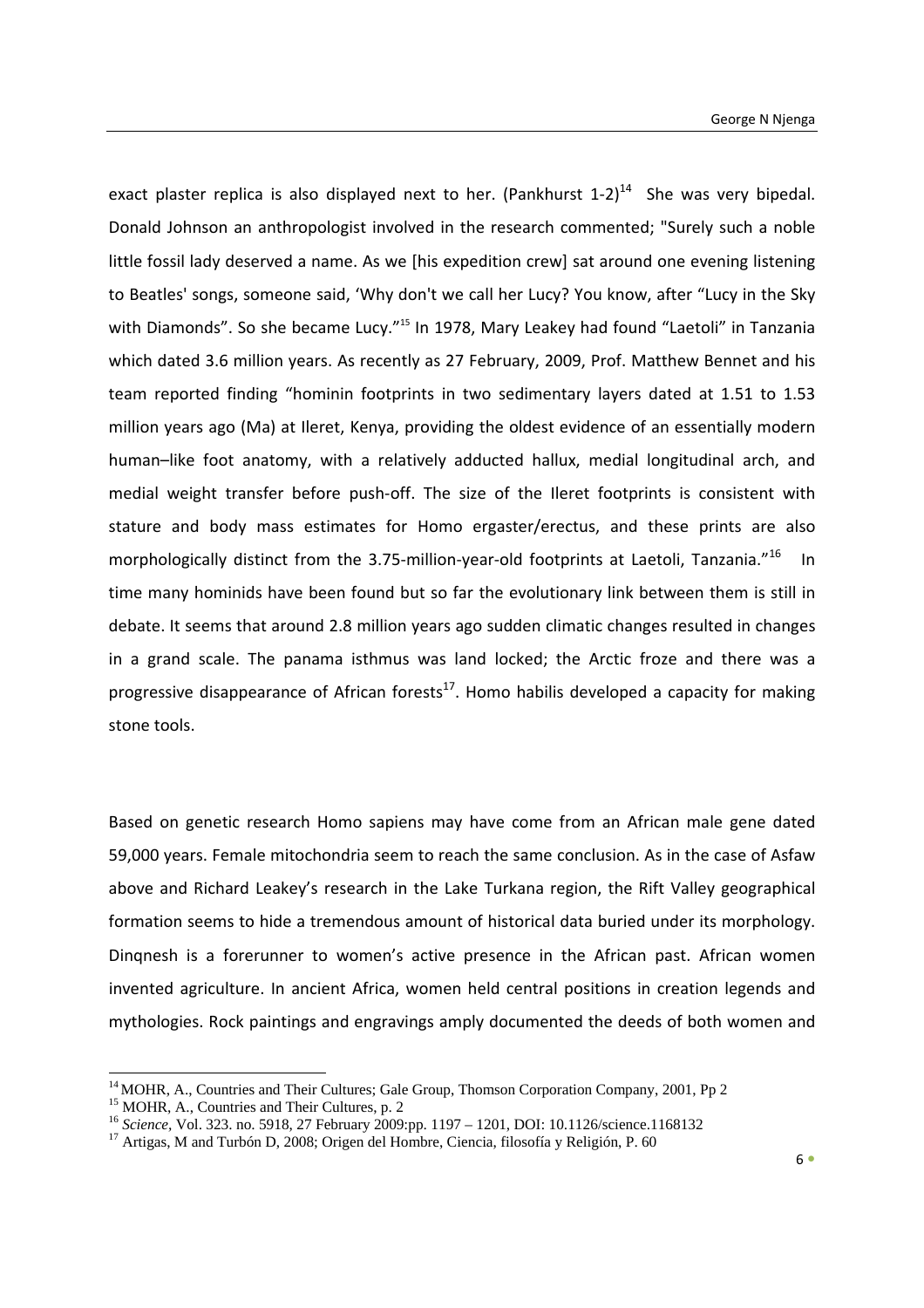exact plaster replica is also displayed next to her. (Pankhurst  $1-2$ )<sup>14</sup> She was very bipedal. Donald Johnson an anthropologist involved in the research commented; "Surely such a noble little fossil lady deserved a name. As we [his expedition crew] sat around one evening listening to Beatles' songs, someone said, 'Why don't we call her Lucy? You know, after "Lucy in the Sky with Diamonds". So she became Lucy."<sup>15</sup> In 1978, Mary Leakey had found "Laetoli" in Tanzania which dated 3.6 million years. As recently as 27 February, 2009, Prof. Matthew Bennet and his team reported finding "hominin footprints in two sedimentary layers dated at 1.51 to 1.53 million years ago (Ma) at Ileret, Kenya, providing the oldest evidence of an essentially modern human–like foot anatomy, with a relatively adducted hallux, medial longitudinal arch, and medial weight transfer before push-off. The size of the Ileret footprints is consistent with stature and body mass estimates for Homo ergaster/erectus, and these prints are also morphologically distinct from the 3.75-million-year-old footprints at Laetoli, Tanzania."<sup>16</sup> In time many hominids have been found but so far the evolutionary link between them is still in debate. It seems that around 2.8 million years ago sudden climatic changes resulted in changes in a grand scale. The panama isthmus was land locked; the Arctic froze and there was a progressive disappearance of African forests $^{17}$ . Homo habilis developed a capacity for making stone tools.

Based on genetic research Homo sapiens may have come from an African male gene dated 59,000 years. Female mitochondria seem to reach the same conclusion. As in the case of Asfaw above and Richard Leakey's research in the Lake Turkana region, the Rift Valley geographical formation seems to hide a tremendous amount of historical data buried under its morphology. Dinqnesh is a forerunner to women's active presence in the African past. African women invented agriculture. In ancient Africa, women held central positions in creation legends and mythologies. Rock paintings and engravings amply documented the deeds of both women and

<u> Andrew Maria (1989)</u>

<sup>&</sup>lt;sup>14</sup> MOHR, A., Countries and Their Cultures; Gale Group, Thomson Corporation Company, 2001, Pp 2 <sup>15</sup> MOHR, A., Countries and Their Cultures, p. 2

<sup>&</sup>lt;sup>16</sup> *Science*, Vol. 323. no. 5918, 27 February 2009:pp. 1197 – 1201, DOI: 10.1126/science.1168132<br><sup>17</sup> Artigas, M and Turbón D, 2008; Origen del Hombre, Ciencia, filosofía y Religión, P. 60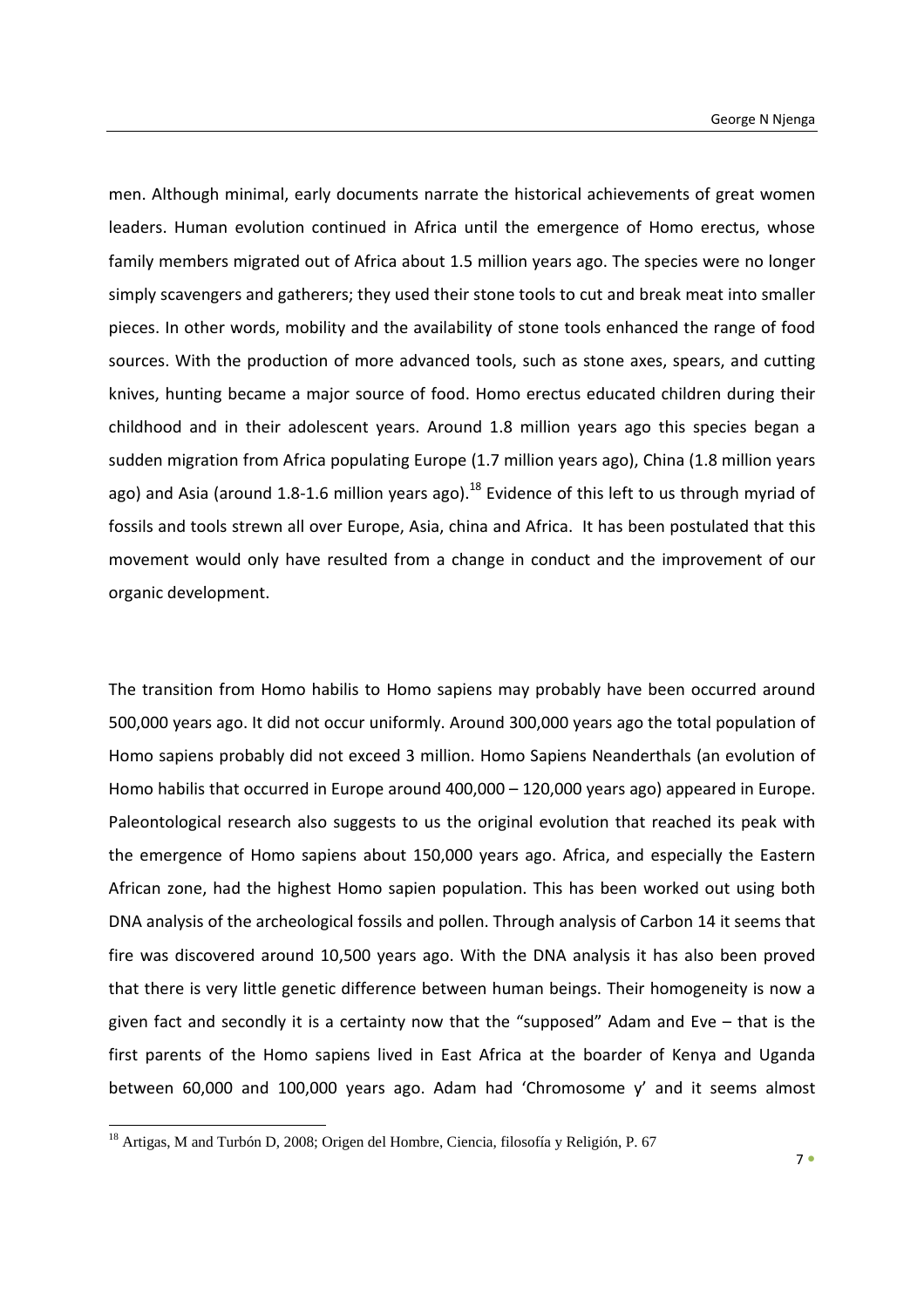men. Although minimal, early documents narrate the historical achievements of great women leaders. Human evolution continued in Africa until the emergence of Homo erectus, whose family members migrated out of Africa about 1.5 million years ago. The species were no longer simply scavengers and gatherers; they used their stone tools to cut and break meat into smaller pieces. In other words, mobility and the availability of stone tools enhanced the range of food sources. With the production of more advanced tools, such as stone axes, spears, and cutting knives, hunting became a major source of food. Homo erectus educated children during their childhood and in their adolescent years. Around 1.8 million years ago this species began a sudden migration from Africa populating Europe (1.7 million years ago), China (1.8 million years ago) and Asia (around 1.8-1.6 million years ago).<sup>18</sup> Evidence of this left to us through myriad of fossils and tools strewn all over Europe, Asia, china and Africa. It has been postulated that this movement would only have resulted from a change in conduct and the improvement of our organic development.

The transition from Homo habilis to Homo sapiens may probably have been occurred around 500,000 years ago. It did not occur uniformly. Around 300,000 years ago the total population of Homo sapiens probably did not exceed 3 million. Homo Sapiens Neanderthals (an evolution of Homo habilis that occurred in Europe around 400,000 – 120,000 years ago) appeared in Europe. Paleontological research also suggests to us the original evolution that reached its peak with the emergence of Homo sapiens about 150,000 years ago. Africa, and especially the Eastern African zone, had the highest Homo sapien population. This has been worked out using both DNA analysis of the archeological fossils and pollen. Through analysis of Carbon 14 it seems that fire was discovered around 10,500 years ago. With the DNA analysis it has also been proved that there is very little genetic difference between human beings. Their homogeneity is now a given fact and secondly it is a certainty now that the "supposed" Adam and Eve – that is the first parents of the Homo sapiens lived in East Africa at the boarder of Kenya and Uganda between 60,000 and 100,000 years ago. Adam had 'Chromosome y' and it seems almost

<u> Andrew Maria (1989)</u>

<sup>&</sup>lt;sup>18</sup> Artigas, M and Turbón D, 2008; Origen del Hombre, Ciencia, filosofía y Religión, P. 67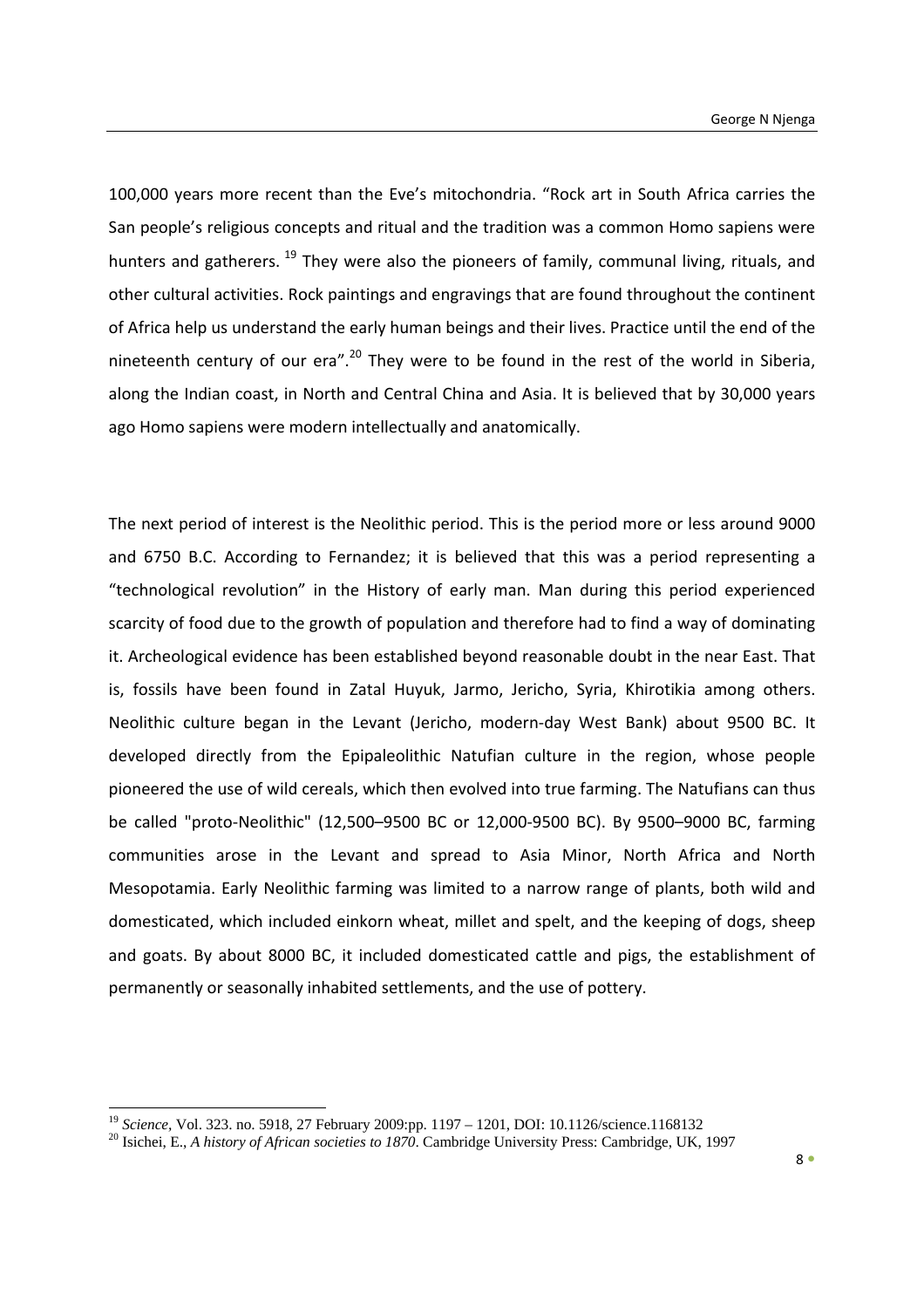100,000 years more recent than the Eve's mitochondria. "Rock art in South Africa carries the San people's religious concepts and ritual and the tradition was a common Homo sapiens were hunters and gatherers. <sup>19</sup> They were also the pioneers of family, communal living, rituals, and other cultural activities. Rock paintings and engravings that are found throughout the continent of Africa help us understand the early human beings and their lives. Practice until the end of the nineteenth century of our era".<sup>20</sup> They were to be found in the rest of the world in Siberia, along the Indian coast, in North and Central China and Asia. It is believed that by 30,000 years ago Homo sapiens were modern intellectually and anatomically.

The next period of interest is the Neolithic period. This is the period more or less around 9000 and 6750 B.C. According to Fernandez; it is believed that this was a period representing a "technological revolution" in the History of early man. Man during this period experienced scarcity of food due to the growth of population and therefore had to find a way of dominating it. Archeological evidence has been established beyond reasonable doubt in the near East. That is, fossils have been found in Zatal Huyuk, Jarmo, Jericho, Syria, Khirotikia among others. Neolithic culture began in the Levant (Jericho, modern‐day West Bank) about 9500 BC. It developed directly from the Epipaleolithic Natufian culture in the region, whose people pioneered the use of wild cereals, which then evolved into true farming. The Natufians can thus be called "proto‐Neolithic" (12,500–9500 BC or 12,000‐9500 BC). By 9500–9000 BC, farming communities arose in the Levant and spread to Asia Minor, North Africa and North Mesopotamia. Early Neolithic farming was limited to a narrow range of plants, both wild and domesticated, which included einkorn wheat, millet and spelt, and the keeping of dogs, sheep and goats. By about 8000 BC, it included domesticated cattle and pigs, the establishment of permanently or seasonally inhabited settlements, and the use of pottery.

<sup>&</sup>lt;sup>19</sup> Science, Vol. 323. no. 5918, 27 February 2009:pp. 1197 - 1201, DOI: 10.1126/science.1168132

<sup>&</sup>lt;sup>20</sup> Isichei, E., *A history of African societies to 1870*. Cambridge University Press: Cambridge, UK, 1997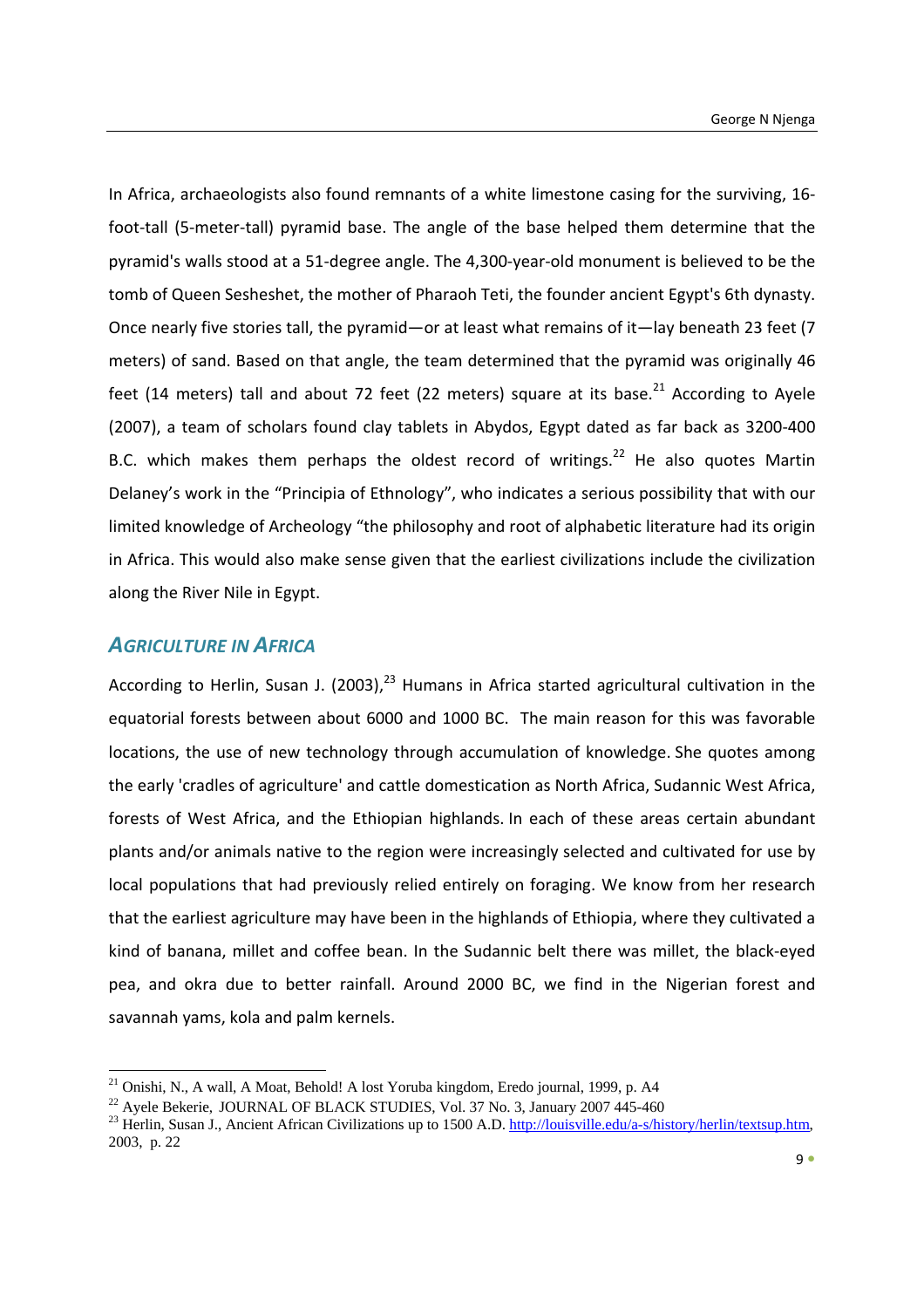In Africa, archaeologists also found remnants of a white limestone casing for the surviving, 16‐ foot-tall (5-meter-tall) pyramid base. The angle of the base helped them determine that the pyramid's walls stood at a 51‐degree angle. The 4,300‐year‐old monument is believed to be the tomb of Queen Sesheshet, the mother of Pharaoh Teti, the founder ancient Egypt's 6th dynasty. Once nearly five stories tall, the pyramid—or at least what remains of it—lay beneath 23 feet (7 meters) of sand. Based on that angle, the team determined that the pyramid was originally 46 feet (14 meters) tall and about 72 feet (22 meters) square at its base.<sup>21</sup> According to Ayele (2007), a team of scholars found clay tablets in Abydos, Egypt dated as far back as 3200‐400 B.C. which makes them perhaps the oldest record of writings.<sup>22</sup> He also quotes Martin Delaney's work in the "Principia of Ethnology", who indicates a serious possibility that with our limited knowledge of Archeology "the philosophy and root of alphabetic literature had its origin in Africa. This would also make sense given that the earliest civilizations include the civilization along the River Nile in Egypt.

## *AGRICULTURE IN AFRICA*

According to Herlin, Susan J. (2003), $^{23}$  Humans in Africa started agricultural cultivation in the equatorial forests between about 6000 and 1000 BC. The main reason for this was favorable locations, the use of new technology through accumulation of knowledge. She quotes among the early 'cradles of agriculture' and cattle domestication as North Africa, Sudannic West Africa, forests of West Africa, and the Ethiopian highlands. In each of these areas certain abundant plants and/or animals native to the region were increasingly selected and cultivated for use by local populations that had previously relied entirely on foraging. We know from her research that the earliest agriculture may have been in the highlands of Ethiopia, where they cultivated a kind of banana, millet and coffee bean. In the Sudannic belt there was millet, the black-eyed pea, and okra due to better rainfall. Around 2000 BC, we find in the Nigerian forest and savannah yams, kola and palm kernels.

<sup>&</sup>lt;sup>21</sup> Onishi, N., A wall, A Moat, Behold! A lost Yoruba kingdom, Eredo journal, 1999, p. A4

<sup>&</sup>lt;sup>22</sup> Ayele Bekerie, JOURNAL OF BLACK STUDIES, Vol. 37 No. 3, January 2007 445-460<br><sup>23</sup> Herlin, Susan J., Ancient African Civilizations up to 1500 A.D. http://louisville.edu/a-s/history/herlin/textsup.htm, 2003, p. 22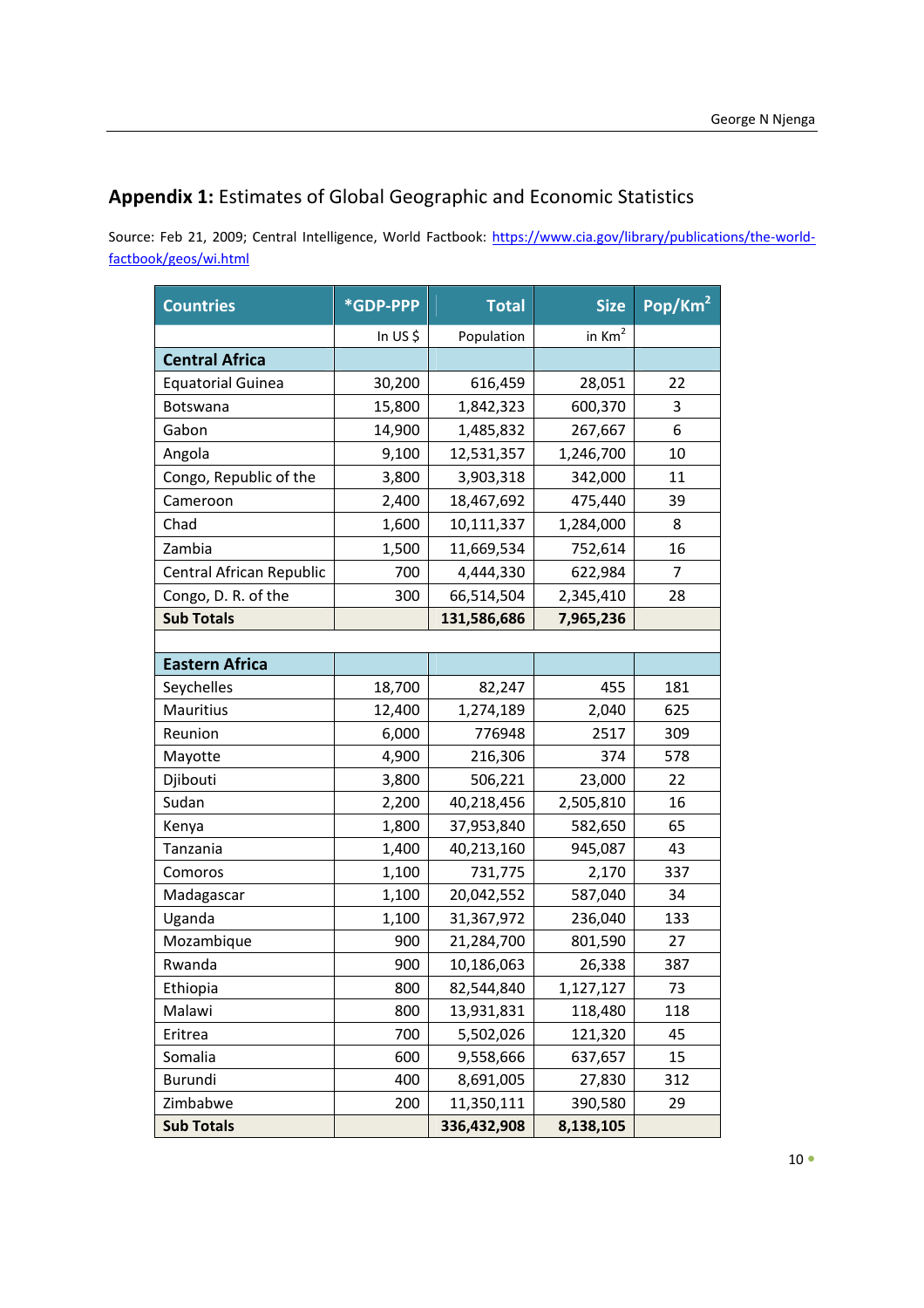## **Appendix 1:** Estimates of Global Geographic and Economic Statistics

Source: Feb 21, 2009; Central Intelligence, World Factbook: https://www.cia.gov/library/publications/the-worldfactbook/geos/wi.html

| <b>Countries</b>         | *GDP-PPP | <b>Total</b> | <b>Size</b> | Pop/Km <sup>2</sup> |
|--------------------------|----------|--------------|-------------|---------------------|
|                          | In US\$  | Population   | in $Km2$    |                     |
| <b>Central Africa</b>    |          |              |             |                     |
| <b>Equatorial Guinea</b> | 30,200   | 616,459      | 28,051      | 22                  |
| Botswana                 | 15,800   | 1,842,323    | 600,370     | 3                   |
| Gabon                    | 14,900   | 1,485,832    | 267,667     | 6                   |
| Angola                   | 9,100    | 12,531,357   | 1,246,700   | 10                  |
| Congo, Republic of the   | 3,800    | 3,903,318    | 342,000     | 11                  |
| Cameroon                 | 2,400    | 18,467,692   | 475,440     | 39                  |
| Chad                     | 1,600    | 10,111,337   | 1,284,000   | 8                   |
| Zambia                   | 1,500    | 11,669,534   | 752,614     | 16                  |
| Central African Republic | 700      | 4,444,330    | 622,984     | 7                   |
| Congo, D. R. of the      | 300      | 66,514,504   | 2,345,410   | 28                  |
| <b>Sub Totals</b>        |          | 131,586,686  | 7,965,236   |                     |
|                          |          |              |             |                     |
| <b>Eastern Africa</b>    |          |              |             |                     |
| Seychelles               | 18,700   | 82,247       | 455         | 181                 |
| Mauritius                | 12,400   | 1,274,189    | 2,040       | 625                 |
| Reunion                  | 6,000    | 776948       | 2517        | 309                 |
| Mayotte                  | 4,900    | 216,306      | 374         | 578                 |
| Djibouti                 | 3,800    | 506,221      | 23,000      | 22                  |
| Sudan                    | 2,200    | 40,218,456   | 2,505,810   | 16                  |
| Kenya                    | 1,800    | 37,953,840   | 582,650     | 65                  |
| Tanzania                 | 1,400    | 40,213,160   | 945,087     | 43                  |
| Comoros                  | 1,100    | 731,775      | 2,170       | 337                 |
| Madagascar               | 1,100    | 20,042,552   | 587,040     | 34                  |
| Uganda                   | 1,100    | 31,367,972   | 236,040     | 133                 |
| Mozambique               | 900      | 21,284,700   | 801,590     | 27                  |
| Rwanda                   | 900      | 10,186,063   | 26,338      | 387                 |
| Ethiopia                 | 800      | 82,544,840   | 1,127,127   | 73                  |
| Malawi                   | 800      | 13,931,831   | 118,480     | 118                 |
| Eritrea                  | 700      | 5,502,026    | 121,320     | 45                  |
| Somalia                  | 600      | 9,558,666    | 637,657     | 15                  |
| Burundi                  | 400      | 8,691,005    | 27,830      | 312                 |
| Zimbabwe                 | 200      | 11,350,111   | 390,580     | 29                  |
| <b>Sub Totals</b>        |          | 336,432,908  | 8,138,105   |                     |